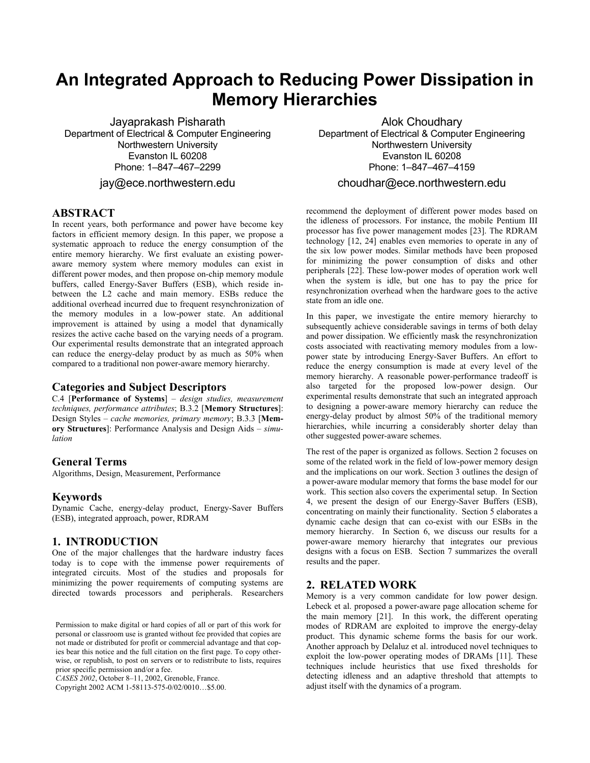# **An Integrated Approach to Reducing Power Dissipation in Memory Hierarchies**

Jayaprakash Pisharath Department of Electrical & Computer Engineering Northwestern University Evanston IL 60208 Phone: 1–847–467–2299

jay@ece.northwestern.edu

## **ABSTRACT**

In recent years, both performance and power have become key factors in efficient memory design. In this paper, we propose a systematic approach to reduce the energy consumption of the entire memory hierarchy. We first evaluate an existing poweraware memory system where memory modules can exist in different power modes, and then propose on-chip memory module buffers, called Energy-Saver Buffers (ESB), which reside inbetween the L2 cache and main memory. ESBs reduce the additional overhead incurred due to frequent resynchronization of the memory modules in a low-power state. An additional improvement is attained by using a model that dynamically resizes the active cache based on the varying needs of a program. Our experimental results demonstrate that an integrated approach can reduce the energy-delay product by as much as 50% when compared to a traditional non power-aware memory hierarchy.

## **Categories and Subject Descriptors**

C.4 [**Performance of Systems**] – *design studies, measurement techniques, performance attributes*; B.3.2 [**Memory Structures**]: Design Styles – *cache memories, primary memory*; B.3.3 [**Memory Structures**]: Performance Analysis and Design Aids – *simulation* 

#### **General Terms**

Algorithms, Design, Measurement, Performance

#### **Keywords**

Dynamic Cache, energy-delay product, Energy-Saver Buffers (ESB), integrated approach, power, RDRAM

#### **1. INTRODUCTION**

One of the major challenges that the hardware industry faces today is to cope with the immense power requirements of integrated circuits. Most of the studies and proposals for minimizing the power requirements of computing systems are directed towards processors and peripherals. Researchers

*CASES 2002*, October 8–11, 2002, Grenoble, France.

Copyright 2002 ACM 1-58113-575-0/02/0010…\$5.00.

Alok Choudhary Department of Electrical & Computer Engineering Northwestern University Evanston IL 60208 Phone: 1–847–467–4159

choudhar@ece.northwestern.edu

recommend the deployment of different power modes based on the idleness of processors. For instance, the mobile Pentium III processor has five power management modes [23]. The RDRAM technology [12, 24] enables even memories to operate in any of the six low power modes. Similar methods have been proposed for minimizing the power consumption of disks and other peripherals [22]. These low-power modes of operation work well when the system is idle, but one has to pay the price for resynchronization overhead when the hardware goes to the active state from an idle one.

In this paper, we investigate the entire memory hierarchy to subsequently achieve considerable savings in terms of both delay and power dissipation. We efficiently mask the resynchronization costs associated with reactivating memory modules from a lowpower state by introducing Energy-Saver Buffers. An effort to reduce the energy consumption is made at every level of the memory hierarchy. A reasonable power-performance tradeoff is also targeted for the proposed low-power design. Our experimental results demonstrate that such an integrated approach to designing a power-aware memory hierarchy can reduce the energy-delay product by almost 50% of the traditional memory hierarchies, while incurring a considerably shorter delay than other suggested power-aware schemes.

The rest of the paper is organized as follows. Section 2 focuses on some of the related work in the field of low-power memory design and the implications on our work. Section 3 outlines the design of a power-aware modular memory that forms the base model for our work. This section also covers the experimental setup. In Section 4, we present the design of our Energy-Saver Buffers (ESB), concentrating on mainly their functionality. Section 5 elaborates a dynamic cache design that can co-exist with our ESBs in the memory hierarchy. In Section 6, we discuss our results for a power-aware memory hierarchy that integrates our previous designs with a focus on ESB. Section 7 summarizes the overall results and the paper.

#### **2. RELATED WORK**

Memory is a very common candidate for low power design. Lebeck et al. proposed a power-aware page allocation scheme for the main memory [21]. In this work, the different operating modes of RDRAM are exploited to improve the energy-delay product. This dynamic scheme forms the basis for our work. Another approach by Delaluz et al. introduced novel techniques to exploit the low-power operating modes of DRAMs [11]. These techniques include heuristics that use fixed thresholds for detecting idleness and an adaptive threshold that attempts to adjust itself with the dynamics of a program.

Permission to make digital or hard copies of all or part of this work for personal or classroom use is granted without fee provided that copies are not made or distributed for profit or commercial advantage and that copies bear this notice and the full citation on the first page. To copy otherwise, or republish, to post on servers or to redistribute to lists, requires prior specific permission and/or a fee.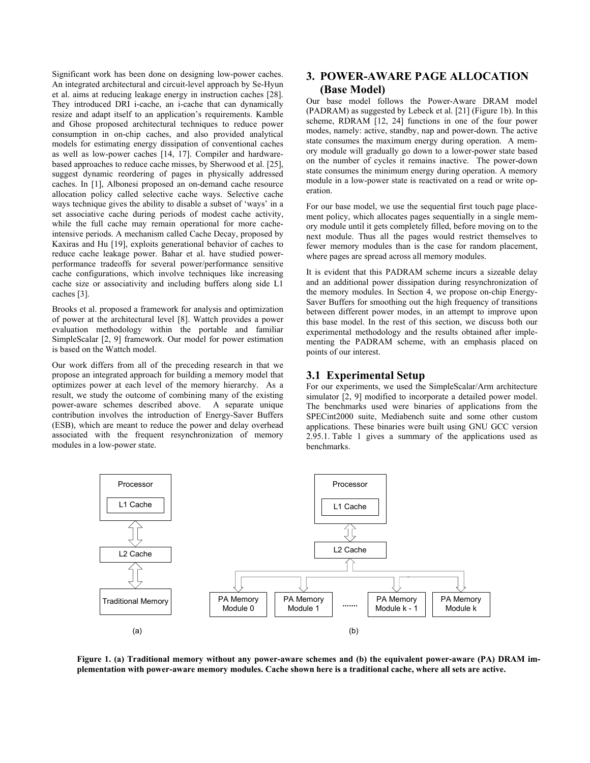Significant work has been done on designing low-power caches. An integrated architectural and circuit-level approach by Se-Hyun et al. aims at reducing leakage energy in instruction caches [28]. They introduced DRI i-cache, an i-cache that can dynamically resize and adapt itself to an application's requirements. Kamble and Ghose proposed architectural techniques to reduce power consumption in on-chip caches, and also provided analytical models for estimating energy dissipation of conventional caches as well as low-power caches [14, 17]. Compiler and hardwarebased approaches to reduce cache misses, by Sherwood et al. [25], suggest dynamic reordering of pages in physically addressed caches. In [1], Albonesi proposed an on-demand cache resource allocation policy called selective cache ways. Selective cache ways technique gives the ability to disable a subset of 'ways' in a set associative cache during periods of modest cache activity, while the full cache may remain operational for more cacheintensive periods. A mechanism called Cache Decay, proposed by Kaxiras and Hu [19], exploits generational behavior of caches to reduce cache leakage power. Bahar et al. have studied powerperformance tradeoffs for several power/performance sensitive cache configurations, which involve techniques like increasing cache size or associativity and including buffers along side L1 caches [3].

Brooks et al. proposed a framework for analysis and optimization of power at the architectural level [8]. Wattch provides a power evaluation methodology within the portable and familiar SimpleScalar [2, 9] framework. Our model for power estimation is based on the Wattch model.

Our work differs from all of the preceding research in that we propose an integrated approach for building a memory model that optimizes power at each level of the memory hierarchy. As a result, we study the outcome of combining many of the existing power-aware schemes described above. A separate unique contribution involves the introduction of Energy-Saver Buffers (ESB), which are meant to reduce the power and delay overhead associated with the frequent resynchronization of memory modules in a low-power state.

## **3. POWER-AWARE PAGE ALLOCATION (Base Model)**

Our base model follows the Power-Aware DRAM model (PADRAM) as suggested by Lebeck et al. [21] (Figure 1b). In this scheme, RDRAM [12, 24] functions in one of the four power modes, namely: active, standby, nap and power-down. The active state consumes the maximum energy during operation. A memory module will gradually go down to a lower-power state based on the number of cycles it remains inactive. The power-down state consumes the minimum energy during operation. A memory module in a low-power state is reactivated on a read or write operation.

For our base model, we use the sequential first touch page placement policy, which allocates pages sequentially in a single memory module until it gets completely filled, before moving on to the next module. Thus all the pages would restrict themselves to fewer memory modules than is the case for random placement, where pages are spread across all memory modules.

It is evident that this PADRAM scheme incurs a sizeable delay and an additional power dissipation during resynchronization of the memory modules. In Section 4, we propose on-chip Energy-Saver Buffers for smoothing out the high frequency of transitions between different power modes, in an attempt to improve upon this base model. In the rest of this section, we discuss both our experimental methodology and the results obtained after implementing the PADRAM scheme, with an emphasis placed on points of our interest.

### **3.1 Experimental Setup**

For our experiments, we used the SimpleScalar/Arm architecture simulator [2, 9] modified to incorporate a detailed power model. The benchmarks used were binaries of applications from the SPECint2000 suite, Mediabench suite and some other custom applications. These binaries were built using GNU GCC version 2.95.1. Table 1 gives a summary of the applications used as benchmarks.



**Figure 1. (a) Traditional memory without any power-aware schemes and (b) the equivalent power-aware (PA) DRAM implementation with power-aware memory modules. Cache shown here is a traditional cache, where all sets are active.**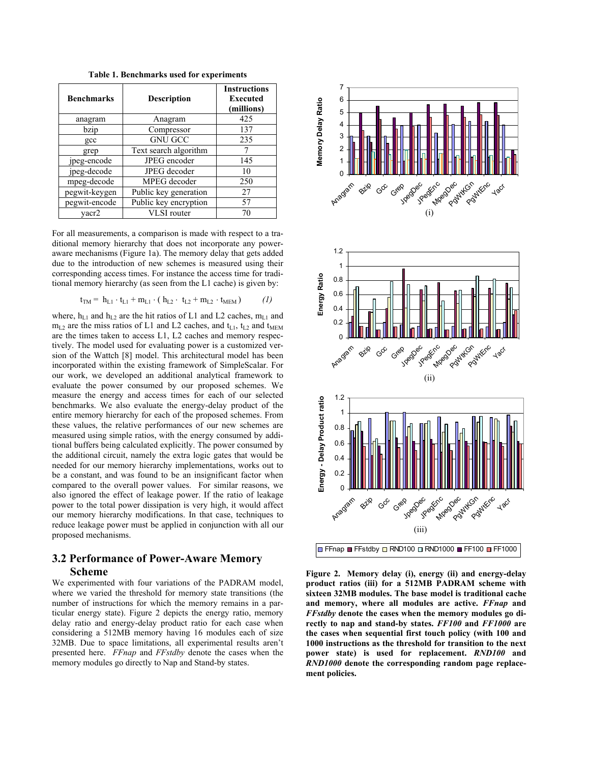**Table 1. Benchmarks used for experiments**

| <b>Benchmarks</b> | <b>Description</b>    | <b>Instructions</b><br>Executed<br>(millions) |  |  |
|-------------------|-----------------------|-----------------------------------------------|--|--|
| anagram           | Anagram               | 425                                           |  |  |
| bzip              | Compressor            | 137                                           |  |  |
| gcc               | <b>GNU GCC</b>        | 235                                           |  |  |
| grep              | Text search algorithm |                                               |  |  |
| jpeg-encode       | JPEG encoder          | 145                                           |  |  |
| jpeg-decode       | JPEG decoder          | 10                                            |  |  |
| mpeg-decode       | MPEG decoder          | 250                                           |  |  |
| pegwit-keygen     | Public key generation | 27                                            |  |  |
| pegwit-encode     | Public key encryption | 57                                            |  |  |
| vacr2             | <b>VLSI</b> router    | 70                                            |  |  |

For all measurements, a comparison is made with respect to a traditional memory hierarchy that does not incorporate any poweraware mechanisms (Figure 1a). The memory delay that gets added due to the introduction of new schemes is measured using their corresponding access times. For instance the access time for traditional memory hierarchy (as seen from the L1 cache) is given by:

$$
t_{TM} = h_{L1} \cdot t_{L1} + m_{L1} \cdot (h_{L2} \cdot t_{L2} + m_{L2} \cdot t_{MEM}) \qquad (1)
$$

where,  $h_{L1}$  and  $h_{L2}$  are the hit ratios of L1 and L2 caches,  $m_{L1}$  and  $m_{L2}$  are the miss ratios of L1 and L2 caches, and t<sub>L1</sub>, t<sub>L2</sub> and t<sub>MEM</sub> are the times taken to access L1, L2 caches and memory respectively. The model used for evaluating power is a customized version of the Wattch [8] model. This architectural model has been incorporated within the existing framework of SimpleScalar. For our work, we developed an additional analytical framework to evaluate the power consumed by our proposed schemes. We measure the energy and access times for each of our selected benchmarks. We also evaluate the energy-delay product of the entire memory hierarchy for each of the proposed schemes. From these values, the relative performances of our new schemes are measured using simple ratios, with the energy consumed by additional buffers being calculated explicitly. The power consumed by the additional circuit, namely the extra logic gates that would be needed for our memory hierarchy implementations, works out to be a constant, and was found to be an insignificant factor when compared to the overall power values. For similar reasons, we also ignored the effect of leakage power. If the ratio of leakage power to the total power dissipation is very high, it would affect our memory hierarchy modifications. In that case, techniques to reduce leakage power must be applied in conjunction with all our proposed mechanisms.

## **3.2 Performance of Power-Aware Memory Scheme**

We experimented with four variations of the PADRAM model, where we varied the threshold for memory state transitions (the number of instructions for which the memory remains in a particular energy state). Figure 2 depicts the energy ratio, memory delay ratio and energy-delay product ratio for each case when considering a 512MB memory having 16 modules each of size 32MB. Due to space limitations, all experimental results aren't presented here. *FFnap* and *FFstdby* denote the cases when the memory modules go directly to Nap and Stand-by states.



**Figure 2. Memory delay (i), energy (ii) and energy-delay product ratios (iii) for a 512MB PADRAM scheme with sixteen 32MB modules. The base model is traditional cache and memory, where all modules are active.** *FFnap* **and**  *FFstdby* **denote the cases when the memory modules go directly to nap and stand-by states.** *FF100* **and** *FF1000* **are the cases when sequential first touch policy (with 100 and 1000 instructions as the threshold for transition to the next power state) is used for replacement.** *RND100* **and**  *RND1000* **denote the corresponding random page replacement policies.**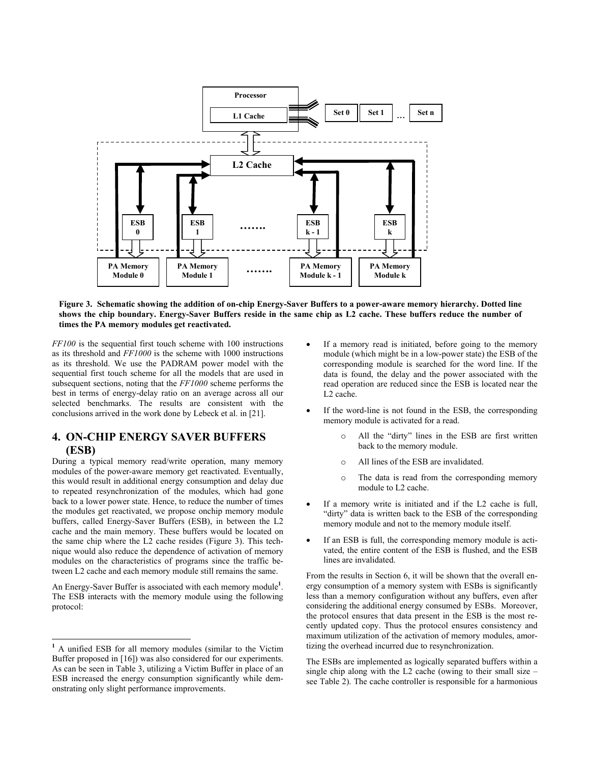

**Figure 3. Schematic showing the addition of on-chip Energy-Saver Buffers to a power-aware memory hierarchy. Dotted line shows the chip boundary. Energy-Saver Buffers reside in the same chip as L2 cache. These buffers reduce the number of times the PA memory modules get reactivated.** 

*FF100* is the sequential first touch scheme with 100 instructions as its threshold and *FF1000* is the scheme with 1000 instructions as its threshold. We use the PADRAM power model with the sequential first touch scheme for all the models that are used in subsequent sections, noting that the *FF1000* scheme performs the best in terms of energy-delay ratio on an average across all our selected benchmarks. The results are consistent with the conclusions arrived in the work done by Lebeck et al. in [21].

# **4. ON-CHIP ENERGY SAVER BUFFERS (ESB)**

During a typical memory read/write operation, many memory modules of the power-aware memory get reactivated. Eventually, this would result in additional energy consumption and delay due to repeated resynchronization of the modules, which had gone back to a lower power state. Hence, to reduce the number of times the modules get reactivated, we propose onchip memory module buffers, called Energy-Saver Buffers (ESB), in between the L2 cache and the main memory. These buffers would be located on the same chip where the L2 cache resides (Figure 3). This technique would also reduce the dependence of activation of memory modules on the characteristics of programs since the traffic between L2 cache and each memory module still remains the same.

An Energy-Saver Buffer is associated with each memory module**<sup>1</sup>** . The ESB interacts with the memory module using the following protocol:

 $\overline{a}$ 

- If a memory read is initiated, before going to the memory module (which might be in a low-power state) the ESB of the corresponding module is searched for the word line. If the data is found, the delay and the power associated with the read operation are reduced since the ESB is located near the L2 cache.
- If the word-line is not found in the ESB, the corresponding memory module is activated for a read.
	- o All the "dirty" lines in the ESB are first written back to the memory module.
	- o All lines of the ESB are invalidated.
	- o The data is read from the corresponding memory module to L2 cache.
- If a memory write is initiated and if the L2 cache is full, "dirty" data is written back to the ESB of the corresponding memory module and not to the memory module itself.
- If an ESB is full, the corresponding memory module is activated, the entire content of the ESB is flushed, and the ESB lines are invalidated.

From the results in Section 6, it will be shown that the overall energy consumption of a memory system with ESBs is significantly less than a memory configuration without any buffers, even after considering the additional energy consumed by ESBs. Moreover, the protocol ensures that data present in the ESB is the most recently updated copy. Thus the protocol ensures consistency and maximum utilization of the activation of memory modules, amortizing the overhead incurred due to resynchronization.

The ESBs are implemented as logically separated buffers within a single chip along with the L2 cache (owing to their small size – see Table 2). The cache controller is responsible for a harmonious

**<sup>1</sup>** A unified ESB for all memory modules (similar to the Victim Buffer proposed in [16]) was also considered for our experiments. As can be seen in Table 3, utilizing a Victim Buffer in place of an ESB increased the energy consumption significantly while demonstrating only slight performance improvements.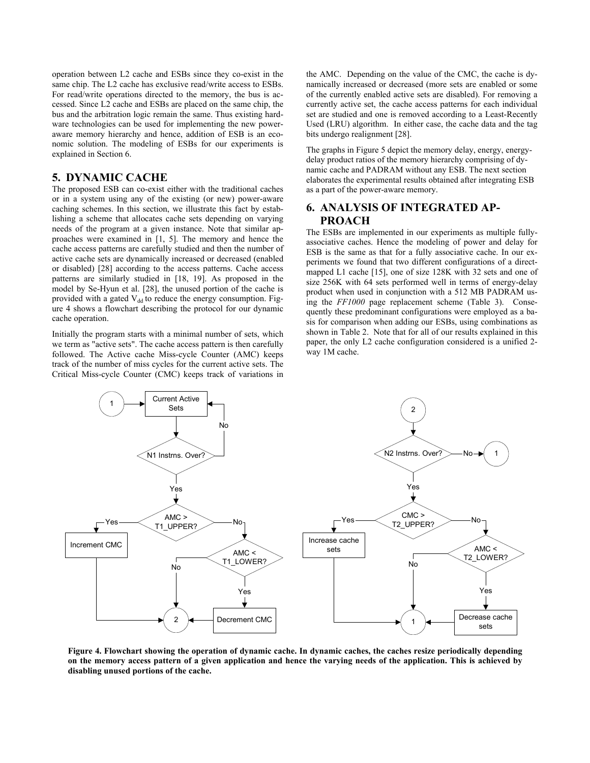operation between L2 cache and ESBs since they co-exist in the same chip. The L2 cache has exclusive read/write access to ESBs. For read/write operations directed to the memory, the bus is accessed. Since L2 cache and ESBs are placed on the same chip, the bus and the arbitration logic remain the same. Thus existing hardware technologies can be used for implementing the new poweraware memory hierarchy and hence, addition of ESB is an economic solution. The modeling of ESBs for our experiments is explained in Section 6.

#### **5. DYNAMIC CACHE**

The proposed ESB can co-exist either with the traditional caches or in a system using any of the existing (or new) power-aware caching schemes. In this section, we illustrate this fact by establishing a scheme that allocates cache sets depending on varying needs of the program at a given instance. Note that similar approaches were examined in [1, 5]. The memory and hence the cache access patterns are carefully studied and then the number of active cache sets are dynamically increased or decreased (enabled or disabled) [28] according to the access patterns. Cache access patterns are similarly studied in [18, 19]. As proposed in the model by Se-Hyun et al. [28], the unused portion of the cache is provided with a gated  $V_{dd}$  to reduce the energy consumption. Figure 4 shows a flowchart describing the protocol for our dynamic cache operation.

Initially the program starts with a minimal number of sets, which we term as "active sets". The cache access pattern is then carefully followed. The Active cache Miss-cycle Counter (AMC) keeps track of the number of miss cycles for the current active sets. The Critical Miss-cycle Counter (CMC) keeps track of variations in

the AMC. Depending on the value of the CMC, the cache is dynamically increased or decreased (more sets are enabled or some of the currently enabled active sets are disabled). For removing a currently active set, the cache access patterns for each individual set are studied and one is removed according to a Least-Recently Used (LRU) algorithm. In either case, the cache data and the tag bits undergo realignment [28].

The graphs in Figure 5 depict the memory delay, energy, energydelay product ratios of the memory hierarchy comprising of dynamic cache and PADRAM without any ESB. The next section elaborates the experimental results obtained after integrating ESB as a part of the power-aware memory.

## **6. ANALYSIS OF INTEGRATED AP-PROACH**

The ESBs are implemented in our experiments as multiple fullyassociative caches. Hence the modeling of power and delay for ESB is the same as that for a fully associative cache. In our experiments we found that two different configurations of a directmapped L1 cache [15], one of size 128K with 32 sets and one of size 256K with 64 sets performed well in terms of energy-delay product when used in conjunction with a 512 MB PADRAM using the *FF1000* page replacement scheme (Table 3). Consequently these predominant configurations were employed as a basis for comparison when adding our ESBs, using combinations as shown in Table 2. Note that for all of our results explained in this paper, the only L2 cache configuration considered is a unified 2 way 1M cache.



**Figure 4. Flowchart showing the operation of dynamic cache. In dynamic caches, the caches resize periodically depending on the memory access pattern of a given application and hence the varying needs of the application. This is achieved by disabling unused portions of the cache.**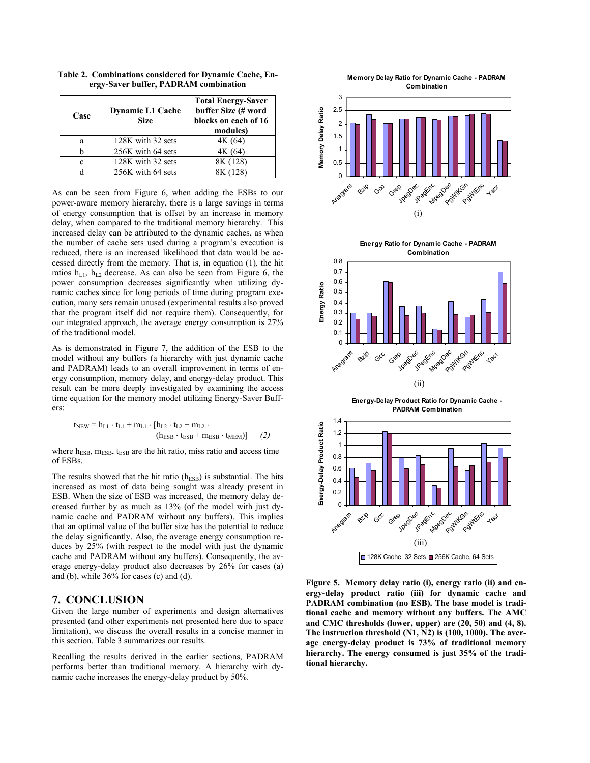| Case | <b>Dynamic L1 Cache</b><br><b>Size</b> | <b>Total Energy-Saver</b><br>buffer Size (# word<br>blocks on each of 16<br>modules) |
|------|----------------------------------------|--------------------------------------------------------------------------------------|
| a    | 128K with 32 sets                      | 4K (64)                                                                              |
| h    | 256K with 64 sets                      | 4K (64)                                                                              |
| c    | 128K with 32 sets                      | 8K (128)                                                                             |
|      | 256K with 64 sets                      | 8K (128)                                                                             |

**Table 2. Combinations considered for Dynamic Cache, Energy-Saver buffer, PADRAM combination** 

As can be seen from Figure 6, when adding the ESBs to our power-aware memory hierarchy, there is a large savings in terms of energy consumption that is offset by an increase in memory delay, when compared to the traditional memory hierarchy. This increased delay can be attributed to the dynamic caches, as when the number of cache sets used during a program's execution is reduced, there is an increased likelihood that data would be accessed directly from the memory. That is, in equation (1)*,* the hit ratios  $h_{L1}$ ,  $h_{L2}$  decrease. As can also be seen from Figure 6, the power consumption decreases significantly when utilizing dynamic caches since for long periods of time during program execution, many sets remain unused (experimental results also proved that the program itself did not require them). Consequently, for our integrated approach, the average energy consumption is 27% of the traditional model.

As is demonstrated in Figure 7, the addition of the ESB to the model without any buffers (a hierarchy with just dynamic cache and PADRAM) leads to an overall improvement in terms of energy consumption, memory delay, and energy-delay product. This result can be more deeply investigated by examining the access time equation for the memory model utilizing Energy-Saver Buffers:

$$
t_{NEW} = h_{L1} \cdot t_{L1} + m_{L1} \cdot [h_{L2} \cdot t_{L2} + m_{L2} \cdot (h_{ESB} \cdot t_{ESB} + m_{ESB} \cdot t_{MEM})]
$$
 (2)

where  $h_{ESB}$ ,  $m_{ESB}$ ,  $t_{ESB}$  are the hit ratio, miss ratio and access time of ESBs.

The results showed that the hit ratio  $(h_{ESB})$  is substantial. The hits increased as most of data being sought was already present in ESB. When the size of ESB was increased, the memory delay decreased further by as much as 13% (of the model with just dynamic cache and PADRAM without any buffers). This implies that an optimal value of the buffer size has the potential to reduce the delay significantly. Also, the average energy consumption reduces by 25% (with respect to the model with just the dynamic cache and PADRAM without any buffers). Consequently, the average energy-delay product also decreases by 26% for cases (a) and (b), while 36% for cases (c) and (d).

### **7. CONCLUSION**

Given the large number of experiments and design alternatives presented (and other experiments not presented here due to space limitation), we discuss the overall results in a concise manner in this section. Table 3 summarizes our results.

Recalling the results derived in the earlier sections, PADRAM performs better than traditional memory. A hierarchy with dynamic cache increases the energy-delay product by 50%.

**Memory Delay Ratio for Dynamic Cache - PADRAM Combination**



**Energy Ratio for Dynamic Cache - PADRAM Combination**



**Energy-Delay Product Ratio for Dynamic Cache - PADRAM Combination**



**Figure 5. Memory delay ratio (i), energy ratio (ii) and energy-delay product ratio (iii) for dynamic cache and PADRAM combination (no ESB). The base model is traditional cache and memory without any buffers. The AMC and CMC thresholds (lower, upper) are (20, 50) and (4, 8). The instruction threshold (N1, N2) is (100, 1000). The average energy-delay product is 73% of traditional memory hierarchy. The energy consumed is just 35% of the traditional hierarchy.**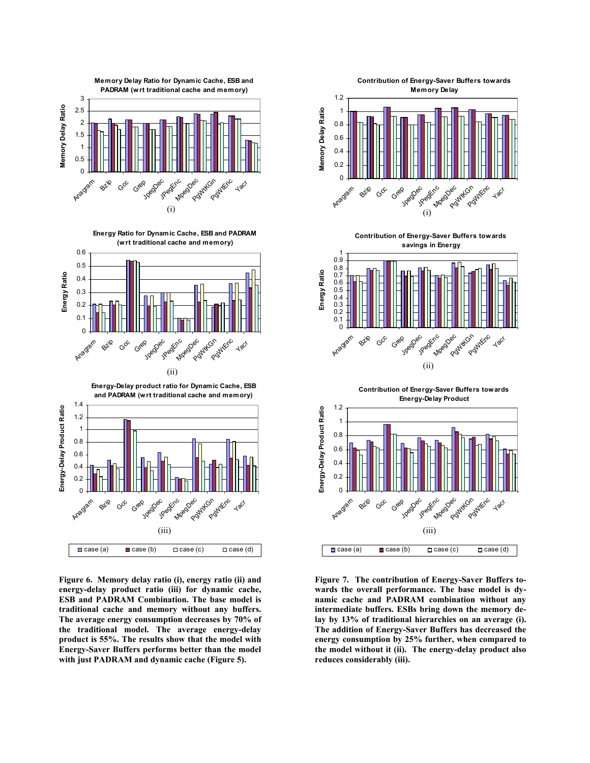

**Energy Ratio for Dynamic Cache, ESB and PADRAM (wrt traditional cache and memory)**





**Figure 6. Memory delay ratio (i), energy ratio (ii) and energy-delay product ratio (iii) for dynamic cache, ESB and PADRAM Combination. The base model is traditional cache and memory without any buffers. The average energy consumption decreases by 70% of the traditional model. The average energy-delay product is 55%. The results show that the model with Energy-Saver Buffers performs better than the model with just PADRAM and dynamic cache (Figure 5).** 

**Contribution of Energy-Saver Buffers towards** 



**Contribution of Energy-Saver Buffers towards savings in Energy**



**Contribution of Energy-Saver Buffers towards Energy-Delay Product**



**Figure 7. The contribution of Energy-Saver Buffers towards the overall performance. The base model is dynamic cache and PADRAM combination without any intermediate buffers. ESBs bring down the memory delay by 13% of traditional hierarchies on an average (i). The addition of Energy-Saver Buffers has decreased the energy consumption by 25% further, when compared to the model without it (ii). The energy-delay product also reduces considerably (iii).**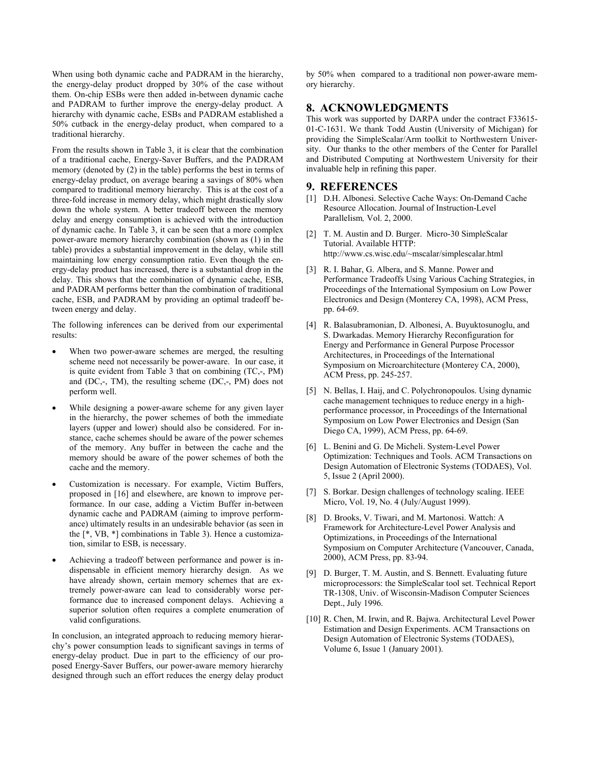When using both dynamic cache and PADRAM in the hierarchy, the energy-delay product dropped by 30% of the case without them. On-chip ESBs were then added in-between dynamic cache and PADRAM to further improve the energy-delay product. A hierarchy with dynamic cache, ESBs and PADRAM established a 50% cutback in the energy-delay product, when compared to a traditional hierarchy.

From the results shown in Table 3, it is clear that the combination of a traditional cache, Energy-Saver Buffers, and the PADRAM memory (denoted by (2) in the table) performs the best in terms of energy-delay product, on average bearing a savings of 80% when compared to traditional memory hierarchy. This is at the cost of a three-fold increase in memory delay, which might drastically slow down the whole system. A better tradeoff between the memory delay and energy consumption is achieved with the introduction of dynamic cache. In Table 3, it can be seen that a more complex power-aware memory hierarchy combination (shown as (1) in the table) provides a substantial improvement in the delay, while still maintaining low energy consumption ratio. Even though the energy-delay product has increased, there is a substantial drop in the delay. This shows that the combination of dynamic cache, ESB, and PADRAM performs better than the combination of traditional cache, ESB, and PADRAM by providing an optimal tradeoff between energy and delay.

The following inferences can be derived from our experimental results:

- When two power-aware schemes are merged, the resulting scheme need not necessarily be power-aware. In our case, it is quite evident from Table 3 that on combining (TC,-, PM) and  $(DC, \text{-}, TM)$ , the resulting scheme  $(DC, \text{-}, PM)$  does not perform well.
- While designing a power-aware scheme for any given layer in the hierarchy, the power schemes of both the immediate layers (upper and lower) should also be considered. For instance, cache schemes should be aware of the power schemes of the memory. Any buffer in between the cache and the memory should be aware of the power schemes of both the cache and the memory.
- Customization is necessary. For example, Victim Buffers, proposed in [16] and elsewhere, are known to improve performance. In our case, adding a Victim Buffer in-between dynamic cache and PADRAM (aiming to improve performance) ultimately results in an undesirable behavior (as seen in the [\*, VB, \*] combinations in Table 3). Hence a customization, similar to ESB, is necessary.
- Achieving a tradeoff between performance and power is indispensable in efficient memory hierarchy design. As we have already shown, certain memory schemes that are extremely power-aware can lead to considerably worse performance due to increased component delays. Achieving a superior solution often requires a complete enumeration of valid configurations.

In conclusion, an integrated approach to reducing memory hierarchy's power consumption leads to significant savings in terms of energy-delay product. Due in part to the efficiency of our proposed Energy-Saver Buffers, our power-aware memory hierarchy designed through such an effort reduces the energy delay product

by 50% when compared to a traditional non power-aware memory hierarchy.

## **8. ACKNOWLEDGMENTS**

This work was supported by DARPA under the contract F33615- 01-C-1631. We thank Todd Austin (University of Michigan) for providing the SimpleScalar/Arm toolkit to Northwestern University. Our thanks to the other members of the Center for Parallel and Distributed Computing at Northwestern University for their invaluable help in refining this paper.

#### **9. REFERENCES**

- [1] D.H. Albonesi. Selective Cache Ways: On-Demand Cache Resource Allocation. Journal of Instruction-Level Parallelism*,* Vol. 2, 2000.
- [2] T. M. Austin and D. Burger. Micro-30 SimpleScalar Tutorial. Available HTTP: http://www.cs.wisc.edu/~mscalar/simplescalar.html
- [3] R. I. Bahar, G. Albera, and S. Manne. Power and Performance Tradeoffs Using Various Caching Strategies, in Proceedings of the International Symposium on Low Power Electronics and Design (Monterey CA, 1998), ACM Press, pp. 64-69.
- [4] R. Balasubramonian, D. Albonesi, A. Buyuktosunoglu, and S. Dwarkadas. Memory Hierarchy Reconfiguration for Energy and Performance in General Purpose Processor Architectures, in Proceedings of the International Symposium on Microarchitecture (Monterey CA, 2000), ACM Press, pp. 245-257.
- [5] N. Bellas, I. Haij, and C. Polychronopoulos. Using dynamic cache management techniques to reduce energy in a highperformance processor, in Proceedings of the International Symposium on Low Power Electronics and Design (San Diego CA, 1999), ACM Press, pp. 64-69.
- [6] L. Benini and G. De Micheli. System-Level Power Optimization: Techniques and Tools. ACM Transactions on Design Automation of Electronic Systems (TODAES), Vol. 5, Issue 2 (April 2000).
- [7] S. Borkar. Design challenges of technology scaling. IEEE Micro, Vol. 19, No. 4 (July/August 1999).
- [8] D. Brooks, V. Tiwari, and M. Martonosi. Wattch: A Framework for Architecture-Level Power Analysis and Optimizations, in Proceedings of the International Symposium on Computer Architecture (Vancouver, Canada, 2000), ACM Press, pp. 83-94.
- [9] D. Burger, T. M. Austin, and S. Bennett. Evaluating future microprocessors: the SimpleScalar tool set. Technical Report TR-1308, Univ. of Wisconsin-Madison Computer Sciences Dept., July 1996.
- [10] R. Chen, M. Irwin, and R. Bajwa. Architectural Level Power Estimation and Design Experiments. ACM Transactions on Design Automation of Electronic Systems (TODAES), Volume 6, Issue 1 (January 2001).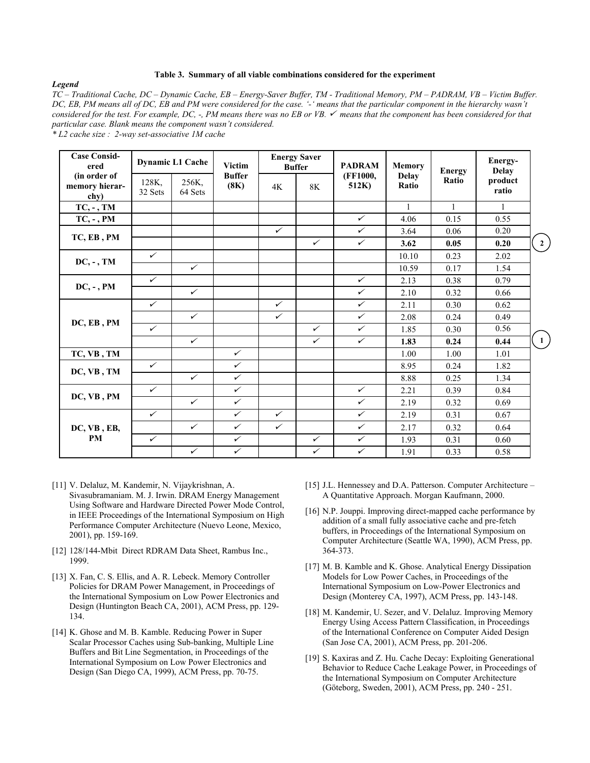#### **Table 3. Summary of all viable combinations considered for the experiment**

*TC – Traditional Cache, DC – Dynamic Cache, EB – Energy-Saver Buffer, TM - Traditional Memory, PM – PADRAM, VB – Victim Buffer. DC, EB, PM means all of DC, EB and PM were considered for the case. '-' means that the particular component in the hierarchy wasn't considered for the test. For example, DC, -, PM means there was no EB or VB.*  $\checkmark$  *means that the component has been considered for that particular case. Blank means the component wasn't considered.* 

*\* L2 cache size : 2-way set-associative 1M cache* 

| <b>Case Consid-</b><br>ered<br>(in order of<br>memory hierar-<br>chy) | <b>Dynamic L1 Cache</b> |                  | <b>Victim</b>         | <b>Energy Saver</b><br><b>Buffer</b> |              | <b>PADRAM</b>     | <b>Memory</b>         | <b>Energy</b> | Energy-<br><b>Delay</b> |                                                 |
|-----------------------------------------------------------------------|-------------------------|------------------|-----------------------|--------------------------------------|--------------|-------------------|-----------------------|---------------|-------------------------|-------------------------------------------------|
|                                                                       | 128K,<br>32 Sets        | 256K.<br>64 Sets | <b>Buffer</b><br>(8K) | 4K                                   | 8K           | (FF1000,<br>512K) | <b>Delay</b><br>Ratio | Ratio         | product<br>ratio        |                                                 |
| $TC, -$ , TM                                                          |                         |                  |                       |                                      |              |                   | $\mathbf{1}$          | $\mathbf{1}$  | $\mathbf{1}$            |                                                 |
| $TC, -$ , $PM$                                                        |                         |                  |                       |                                      |              | $\checkmark$      | 4.06                  | 0.15          | 0.55                    |                                                 |
| TC, EB, PM                                                            |                         |                  |                       | $\checkmark$                         |              | ✓                 | 3.64                  | 0.06          | 0.20                    |                                                 |
|                                                                       |                         |                  |                       |                                      | $\checkmark$ | ✓                 | 3.62                  | 0.05          | 0.20                    | $\left( \begin{array}{c} 2 \end{array} \right)$ |
| $DC, -$ , TM                                                          | $\checkmark$            |                  |                       |                                      |              |                   | 10.10                 | 0.23          | 2.02                    |                                                 |
|                                                                       |                         | $\checkmark$     |                       |                                      |              |                   | 10.59                 | 0.17          | 1.54                    |                                                 |
| $DC, -$ , PM                                                          | $\checkmark$            |                  |                       |                                      |              | $\checkmark$      | 2.13                  | 0.38          | 0.79                    |                                                 |
|                                                                       |                         | $\checkmark$     |                       |                                      |              | ✓                 | 2.10                  | 0.32          | 0.66                    |                                                 |
| DC, EB, PM                                                            | $\checkmark$            |                  |                       | $\checkmark$                         |              | ✓                 | 2.11                  | 0.30          | 0.62                    |                                                 |
|                                                                       |                         | $\checkmark$     |                       | ✓                                    |              | ✓                 | 2.08                  | 0.24          | 0.49                    |                                                 |
|                                                                       | $\checkmark$            |                  |                       |                                      | $\checkmark$ | $\checkmark$      | 1.85                  | 0.30          | 0.56                    |                                                 |
|                                                                       |                         | $\checkmark$     |                       |                                      | $\checkmark$ | ✓                 | 1.83                  | 0.24          | 0.44                    | $\left  \begin{array}{c} 1 \end{array} \right $ |
| TC, VB, TM                                                            |                         |                  | $\checkmark$          |                                      |              |                   | 1.00                  | 1.00          | 1.01                    |                                                 |
| DC, VB, TM                                                            | $\checkmark$            |                  | $\checkmark$          |                                      |              |                   | 8.95                  | 0.24          | 1.82                    |                                                 |
|                                                                       |                         | $\checkmark$     | $\checkmark$          |                                      |              |                   | 8.88                  | 0.25          | 1.34                    |                                                 |
| DC, VB, PM                                                            | $\checkmark$            |                  | $\checkmark$          |                                      |              | ✓                 | 2.21                  | 0.39          | 0.84                    |                                                 |
|                                                                       |                         | $\checkmark$     | $\checkmark$          |                                      |              | ✓                 | 2.19                  | 0.32          | 0.69                    |                                                 |
| DC, VB, EB,<br><b>PM</b>                                              | $\checkmark$            |                  | $\checkmark$          | $\checkmark$                         |              | ✓                 | 2.19                  | 0.31          | 0.67                    |                                                 |
|                                                                       |                         | $\checkmark$     | $\checkmark$          | $\checkmark$                         |              | ✓                 | 2.17                  | 0.32          | 0.64                    |                                                 |
|                                                                       | $\checkmark$            |                  | $\checkmark$          |                                      | $\checkmark$ | ✓                 | 1.93                  | 0.31          | 0.60                    |                                                 |
|                                                                       |                         | $\checkmark$     | $\checkmark$          |                                      | ✓            | ✓                 | 1.91                  | 0.33          | 0.58                    |                                                 |

- [11] V. Delaluz, M. Kandemir, N. Vijaykrishnan, A. Sivasubramaniam. M. J. Irwin. DRAM Energy Management Using Software and Hardware Directed Power Mode Control, in IEEE Proceedings of the International Symposium on High Performance Computer Architecture (Nuevo Leone, Mexico, 2001), pp. 159-169.
- [12] 128/144-Mbit Direct RDRAM Data Sheet, Rambus Inc., 1999.
- [13] X. Fan, C. S. Ellis, and A. R. Lebeck. Memory Controller Policies for DRAM Power Management, in Proceedings of the International Symposium on Low Power Electronics and Design (Huntington Beach CA, 2001), ACM Press, pp. 129- 134.
- [14] K. Ghose and M. B. Kamble. Reducing Power in Super Scalar Processor Caches using Sub-banking, Multiple Line Buffers and Bit Line Segmentation, in Proceedings of the International Symposium on Low Power Electronics and Design (San Diego CA, 1999), ACM Press, pp. 70-75.
- [15] J.L. Hennessey and D.A. Patterson. Computer Architecture A Quantitative Approach. Morgan Kaufmann, 2000.
- [16] N.P. Jouppi. Improving direct-mapped cache performance by addition of a small fully associative cache and pre-fetch buffers, in Proceedings of the International Symposium on Computer Architecture (Seattle WA, 1990), ACM Press, pp. 364-373.
- [17] M. B. Kamble and K. Ghose. Analytical Energy Dissipation Models for Low Power Caches, in Proceedings of the International Symposium on Low-Power Electronics and Design (Monterey CA, 1997), ACM Press, pp. 143-148.
- [18] M. Kandemir, U. Sezer, and V. Delaluz. Improving Memory Energy Using Access Pattern Classification, in Proceedings of the International Conference on Computer Aided Design (San Jose CA, 2001), ACM Press, pp. 201-206.
- [19] S. Kaxiras and Z. Hu. Cache Decay: Exploiting Generational Behavior to Reduce Cache Leakage Power, in Proceedings of the International Symposium on Computer Architecture (Göteborg, Sweden, 2001), ACM Press, pp. 240 - 251.

#### *Legend*